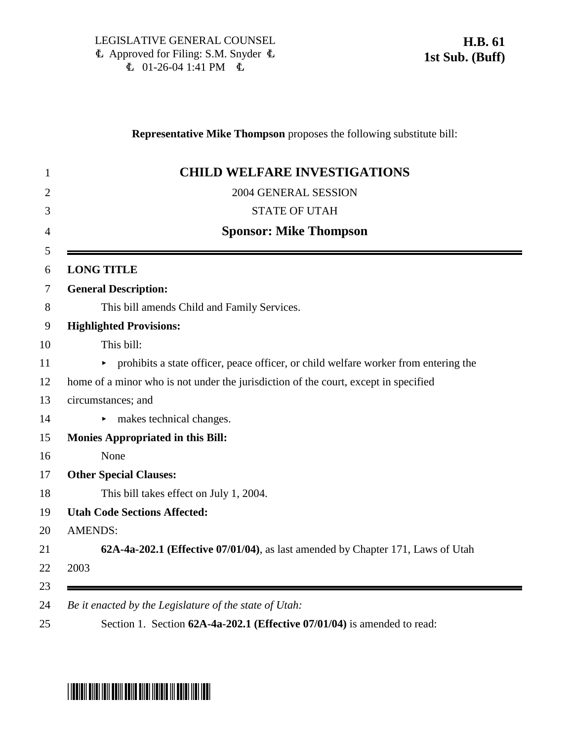## **Representative Mike Thompson** proposes the following substitute bill:

|                | <b>CHILD WELFARE INVESTIGATIONS</b>                                                 |
|----------------|-------------------------------------------------------------------------------------|
|                | 2004 GENERAL SESSION                                                                |
|                | <b>STATE OF UTAH</b>                                                                |
|                | <b>Sponsor: Mike Thompson</b>                                                       |
|                | <b>LONG TITLE</b>                                                                   |
|                | <b>General Description:</b>                                                         |
|                | This bill amends Child and Family Services.                                         |
|                | <b>Highlighted Provisions:</b>                                                      |
|                | This bill:                                                                          |
|                | prohibits a state officer, peace officer, or child welfare worker from entering the |
|                | home of a minor who is not under the jurisdiction of the court, except in specified |
|                | circumstances; and                                                                  |
|                | makes technical changes.<br>▶                                                       |
|                | <b>Monies Appropriated in this Bill:</b>                                            |
|                | None                                                                                |
|                | <b>Other Special Clauses:</b>                                                       |
|                | This bill takes effect on July 1, 2004.                                             |
|                | <b>Utah Code Sections Affected:</b>                                                 |
| <b>AMENDS:</b> |                                                                                     |
|                | 62A-4a-202.1 (Effective 07/01/04), as last amended by Chapter 171, Laws of Utah     |
| 2003           |                                                                                     |

## \*HB0061S01\*